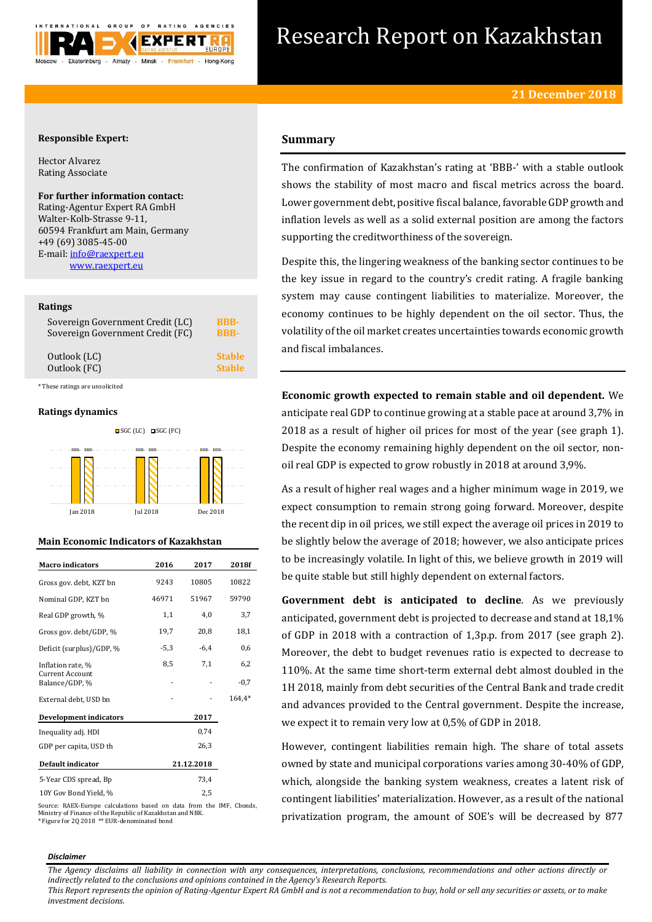

# Research Report on Kazakhstan

## **Responsible Expert:**

Hector Alvarez Rating Associate

## **For further information contact:**

Rating-Agentur Expert RA GmbH Walter-Kolb-Strasse 9-11, 60594 Frankfurt am Main, Germany +49 (69) 3085-45-00 E-mail[: info@raexpert.eu](mailto:info@raexpert.eu) [www.raexpert.eu](http://raexpert.eu/)

## **Ratings**

| Sovereign Government Credit (LC) | <b>BBB-</b>   |
|----------------------------------|---------------|
| Sovereign Government Credit (FC) | <b>BBB-</b>   |
| Outlook (LC)                     | <b>Stable</b> |
| Outlook (FC)                     | <b>Stable</b> |

\* These ratings are unsolicited

## **Ratings dynamics**



## **Main Economic Indicators of Kazakhstan**

| <b>Macro</b> indicators                  | 2016   | 2017       | 2018f  |
|------------------------------------------|--------|------------|--------|
| Gross gov. debt, KZT bn                  | 9243   | 10805      | 10822  |
| Nominal GDP, KZT bn                      | 46971  | 51967      | 59790  |
| Real GDP growth, %                       | 1,1    | 4,0        | 3,7    |
| Gross gov. debt/GDP, %                   | 19,7   | 20,8       | 18,1   |
| Deficit (surplus)/GDP, %                 | $-5,3$ | $-6.4$     | 0,6    |
| Inflation rate, %                        | 8,5    | 7,1        | 6,2    |
| <b>Current Account</b><br>Balance/GDP, % |        |            | $-0,7$ |
| External debt, USD bn                    |        |            | 164,4* |
| <b>Development indicators</b>            |        | 2017       |        |
| Inequality adj. HDI                      |        | 0,74       |        |
| GDP per capita, USD th                   |        | 26,3       |        |
| Default indicator                        |        | 21.12.2018 |        |
| 5-Year CDS spread, Bp                    |        | 73,4       |        |
| 10Y Gov Bond Yield, %                    |        | 2,5        |        |

Source: RAEX-Europe calculations based on data from the IMF, Cbonds, Ministry of Finance of the Republic of Kazakhstan and NBK. \* Figure for 2Q 2018 \*\* EUR-denominated bond

## **Summary**

The confirmation of Kazakhstan's rating at 'BBB-' with a stable outlook shows the stability of most macro and fiscal metrics across the board. Lower government debt, positive fiscal balance, favorable GDP growth and inflation levels as well as a solid external position are among the factors supporting the creditworthiness of the sovereign.

Despite this, the lingering weakness of the banking sector continues to be the key issue in regard to the country's credit rating. A fragile banking system may cause contingent liabilities to materialize. Moreover, the economy continues to be highly dependent on the oil sector. Thus, the volatility of the oil market creates uncertainties towards economic growth and fiscal imbalances.

**Economic growth expected to remain stable and oil dependent.** We anticipate real GDP to continue growing at a stable pace at around 3,7% in 2018 as a result of higher oil prices for most of the year (see graph 1). Despite the economy remaining highly dependent on the oil sector, nonoil real GDP is expected to grow robustly in 2018 at around 3,9%.

As a result of higher real wages and a higher minimum wage in 2019, we expect consumption to remain strong going forward. Moreover, despite the recent dip in oil prices, we still expect the average oil prices in 2019 to be slightly below the average of 2018; however, we also anticipate prices to be increasingly volatile. In light of this, we believe growth in 2019 will be quite stable but still highly dependent on external factors.

**Government debt is anticipated to decline**. As we previously anticipated, government debt is projected to decrease and stand at 18,1% of GDP in 2018 with a contraction of 1,3p.p. from 2017 (see graph 2). Moreover, the debt to budget revenues ratio is expected to decrease to 110%. At the same time short-term external debt almost doubled in the 1H 2018, mainly from debt securities of the Central Bank and trade credit and advances provided to the Central government. Despite the increase, we expect it to remain very low at 0,5% of GDP in 2018.

However, contingent liabilities remain high. The share of total assets owned by state and municipal corporations varies among 30-40% of GDP, which, alongside the banking system weakness, creates a latent risk of contingent liabilities' materialization. However, as a result of the national privatization program, the amount of SOE's will be decreased by 877

#### *Disclaimer*

*The Agency disclaims all liability in connection with any consequences, interpretations, conclusions, recommendations and other actions directly or indirectly related to the conclusions and opinions contained in the Agency's Research Reports.*

*This Report represents the opinion of Rating-Agentur Expert RA GmbH and is not a recommendation to buy, hold or sell any securities or assets, or to make investment decisions.*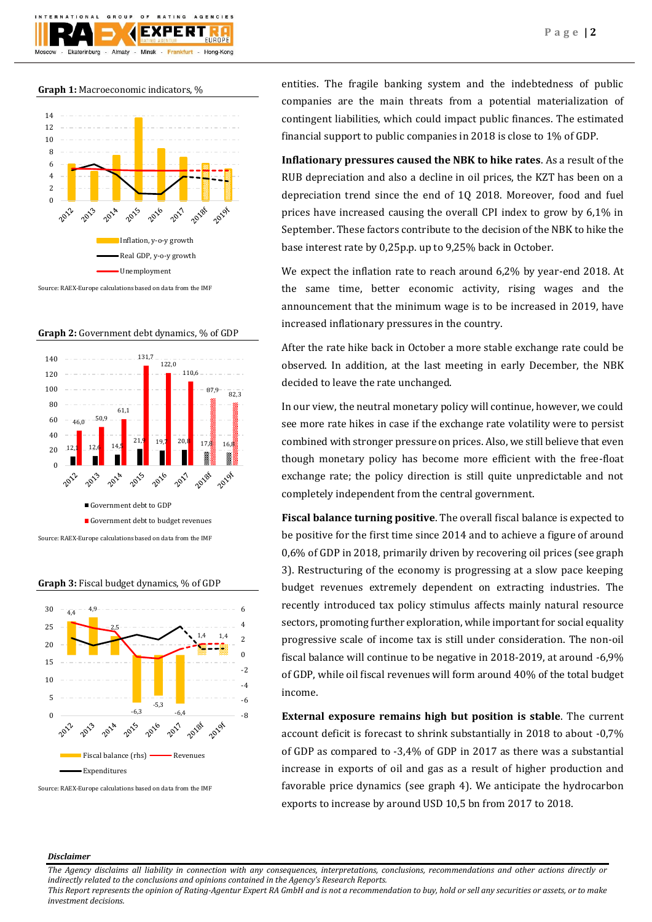

**Graph 1:** Macroeconomic indicators, %



Source: RAEX-Europe calculations based on data from the IMF





**Graph 3:** Fiscal budget dynamics, % of GDP



Source: RAEX-Europe calculations based on data from the IMF

entities. The fragile banking system and the indebtedness of public companies are the main threats from a potential materialization of contingent liabilities, which could impact public finances. The estimated financial support to public companies in 2018 is close to 1% of GDP.

**Inflationary pressures caused the NBK to hike rates**. As a result of the RUB depreciation and also a decline in oil prices, the KZT has been on a depreciation trend since the end of 1Q 2018. Moreover, food and fuel prices have increased causing the overall CPI index to grow by 6,1% in September. These factors contribute to the decision of the NBK to hike the base interest rate by 0,25p.p. up to 9,25% back in October.

We expect the inflation rate to reach around 6,2% by year-end 2018. At the same time, better economic activity, rising wages and the announcement that the minimum wage is to be increased in 2019, have increased inflationary pressures in the country.

After the rate hike back in October a more stable exchange rate could be observed. In addition, at the last meeting in early December, the NBK decided to leave the rate unchanged.

In our view, the neutral monetary policy will continue, however, we could see more rate hikes in case if the exchange rate volatility were to persist combined with stronger pressure on prices. Also, we still believe that even though monetary policy has become more efficient with the free-float exchange rate; the policy direction is still quite unpredictable and not completely independent from the central government.

**Fiscal balance turning positive**. The overall fiscal balance is expected to be positive for the first time since 2014 and to achieve a figure of around 0,6% of GDP in 2018, primarily driven by recovering oil prices (see graph 3). Restructuring of the economy is progressing at a slow pace keeping budget revenues extremely dependent on extracting industries. The recently introduced tax policy stimulus affects mainly natural resource sectors, promoting further exploration, while important for social equality progressive scale of income tax is still under consideration. The non-oil fiscal balance will continue to be negative in 2018-2019, at around -6,9% of GDP, while oil fiscal revenues will form around 40% of the total budget income.

**External exposure remains high but position is stable**. The current account deficit is forecast to shrink substantially in 2018 to about -0,7% of GDP as compared to -3,4% of GDP in 2017 as there was a substantial increase in exports of oil and gas as a result of higher production and favorable price dynamics (see graph 4). We anticipate the hydrocarbon exports to increase by around USD 10,5 bn from 2017 to 2018.

## *Disclaimer*

*The Agency disclaims all liability in connection with any consequences, interpretations, conclusions, recommendations and other actions directly or indirectly related to the conclusions and opinions contained in the Agency's Research Reports.*

*This Report represents the opinion of Rating-Agentur Expert RA GmbH and is not a recommendation to buy, hold or sell any securities or assets, or to make investment decisions.*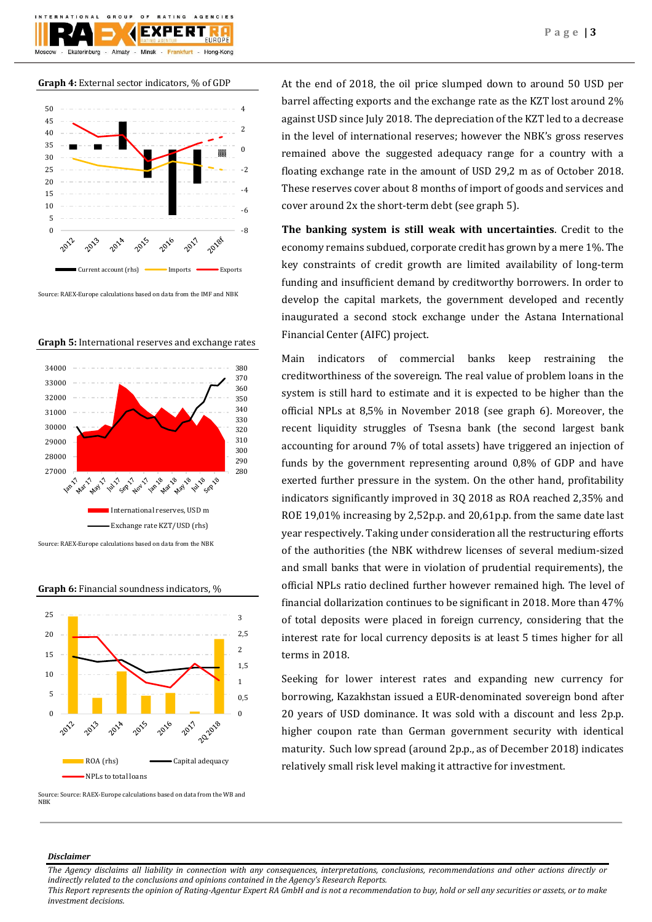

**Graph 4:** External sector indicators, % of GDP



Source: RAEX-Europe calculations based on data from the IMF and NBK



**Graph 5:** International reserves and exchange rates

Source: RAEX-Europe calculations based on data from the NBK

**Graph 6:** Financial soundness indicators, %



Source: Source: RAEX-Europe calculations based on data from the WB and NBK

At the end of 2018, the oil price slumped down to around 50 USD per barrel affecting exports and the exchange rate as the KZT lost around 2% against USD since July 2018. The depreciation of the KZT led to a decrease in the level of international reserves; however the NBK's gross reserves remained above the suggested adequacy range for a country with a floating exchange rate in the amount of USD 29,2 m as of October 2018. These reserves cover about 8 months of import of goods and services and cover around 2x the short-term debt (see graph 5).

**The banking system is still weak with uncertainties**. Credit to the economy remains subdued, corporate credit has grown by a mere 1%. The key constraints of credit growth are limited availability of long-term funding and insufficient demand by creditworthy borrowers. In order to develop the capital markets, the government developed and recently inaugurated a second stock exchange under the Astana International Financial Center (AIFC) project.

Main indicators of commercial banks keep restraining the creditworthiness of the sovereign. The real value of problem loans in the system is still hard to estimate and it is expected to be higher than the official NPLs at 8,5% in November 2018 (see graph 6). Moreover, the recent liquidity struggles of Tsesna bank (the second largest bank accounting for around 7% of total assets) have triggered an injection of funds by the government representing around 0,8% of GDP and have exerted further pressure in the system. On the other hand, profitability indicators significantly improved in 3Q 2018 as ROA reached 2,35% and ROE 19,01% increasing by 2,52p.p. and 20,61p.p. from the same date last year respectively. Taking under consideration all the restructuring efforts of the authorities (the NBK withdrew licenses of several medium-sized and small banks that were in violation of prudential requirements), the official NPLs ratio declined further however remained high. The level of financial dollarization continues to be significant in 2018. More than 47% of total deposits were placed in foreign currency, considering that the interest rate for local currency deposits is at least 5 times higher for all terms in 2018.

Seeking for lower interest rates and expanding new currency for borrowing, Kazakhstan issued a EUR-denominated sovereign bond after 20 years of USD dominance. It was sold with a discount and less 2p.p. higher coupon rate than German government security with identical maturity. Such low spread (around 2p.p., as of December 2018) indicates relatively small risk level making it attractive for investment.

## *Disclaimer*

*The Agency disclaims all liability in connection with any consequences, interpretations, conclusions, recommendations and other actions directly or indirectly related to the conclusions and opinions contained in the Agency's Research Reports. This Report represents the opinion of Rating-Agentur Expert RA GmbH and is not a recommendation to buy, hold or sell any securities or assets, or to make investment decisions.*